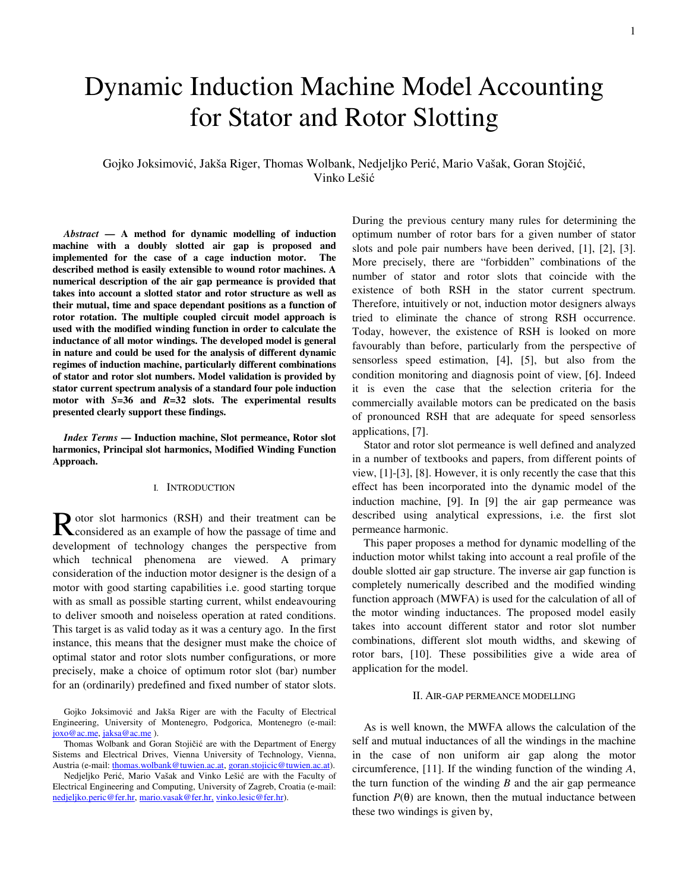# Dynamic Induction Machine Model Accounting for Stator and Rotor Slotting

## Gojko Joksimović, Jakša Riger, Thomas Wolbank, Nedjeljko Perić, Mario Vašak, Goran Stojčić, Vinko Lešić

*Abstract* **— A method for dynamic modelling of induction machine with a doubly slotted air gap is proposed and implemented for the case of a cage induction motor. The described method is easily extensible to wound rotor machines. A numerical description of the air gap permeance is provided that takes into account a slotted stator and rotor structure as well as their mutual, time and space dependant positions as a function of rotor rotation. The multiple coupled circuit model approach is used with the modified winding function in order to calculate the inductance of all motor windings. The developed model is general in nature and could be used for the analysis of different dynamic regimes of induction machine, particularly different combinations of stator and rotor slot numbers. Model validation is provided by stator current spectrum analysis of a standard four pole induction motor with** *S***=36 and** *R***=32 slots. The experimental results presented clearly support these findings.** 

*Index Terms* **— Induction machine, Slot permeance, Rotor slot harmonics, Principal slot harmonics, Modified Winding Function Approach.** 

## I. INTRODUCTION

otor slot harmonics (RSH) and their treatment can be Rotor slot harmonics (RSH) and their treatment can be considered as an example of how the passage of time and development of technology changes the perspective from which technical phenomena are viewed. A primary consideration of the induction motor designer is the design of a motor with good starting capabilities i.e. good starting torque with as small as possible starting current, whilst endeavouring to deliver smooth and noiseless operation at rated conditions. This target is as valid today as it was a century ago. In the first instance, this means that the designer must make the choice of optimal stator and rotor slots number configurations, or more precisely, make a choice of optimum rotor slot (bar) number for an (ordinarily) predefined and fixed number of stator slots.

Gojko Joksimović and Jakša Riger are with the Faculty of Electrical Engineering, University of Montenegro, Podgorica, Montenegro (e-mail: joxo@ac.me, jaksa@ac.me ).

Thomas Wolbank and Goran Stojičić are with the Department of Energy Sistems and Electrical Drives, Vienna University of Technology, Vienna, Austria (e-mail: thomas.wolbank@tuwien.ac.at, goran.stojicic@tuwien.ac.at).

Nedjeljko Perić, Mario Vašak and Vinko Lešić are with the Faculty of Electrical Engineering and Computing, University of Zagreb, Croatia (e-mail: nedjeljko.peric@fer.hr, mario.vasak@fer.hr, vinko.lesic@fer.hr).

During the previous century many rules for determining the optimum number of rotor bars for a given number of stator slots and pole pair numbers have been derived, [1], [2], [3]. More precisely, there are "forbidden" combinations of the number of stator and rotor slots that coincide with the existence of both RSH in the stator current spectrum. Therefore, intuitively or not, induction motor designers always tried to eliminate the chance of strong RSH occurrence. Today, however, the existence of RSH is looked on more favourably than before, particularly from the perspective of sensorless speed estimation, [4], [5], but also from the condition monitoring and diagnosis point of view, [6]. Indeed it is even the case that the selection criteria for the commercially available motors can be predicated on the basis of pronounced RSH that are adequate for speed sensorless applications, [7].

Stator and rotor slot permeance is well defined and analyzed in a number of textbooks and papers, from different points of view, [1]-[3], [8]. However, it is only recently the case that this effect has been incorporated into the dynamic model of the induction machine, [9]. In [9] the air gap permeance was described using analytical expressions, i.e. the first slot permeance harmonic.

This paper proposes a method for dynamic modelling of the induction motor whilst taking into account a real profile of the double slotted air gap structure. The inverse air gap function is completely numerically described and the modified winding function approach (MWFA) is used for the calculation of all of the motor winding inductances. The proposed model easily takes into account different stator and rotor slot number combinations, different slot mouth widths, and skewing of rotor bars, [10]. These possibilities give a wide area of application for the model.

#### II. AIR-GAP PERMEANCE MODELLING

As is well known, the MWFA allows the calculation of the self and mutual inductances of all the windings in the machine in the case of non uniform air gap along the motor circumference, [11]. If the winding function of the winding *A*, the turn function of the winding *B* and the air gap permeance function  $P(\theta)$  are known, then the mutual inductance between these two windings is given by,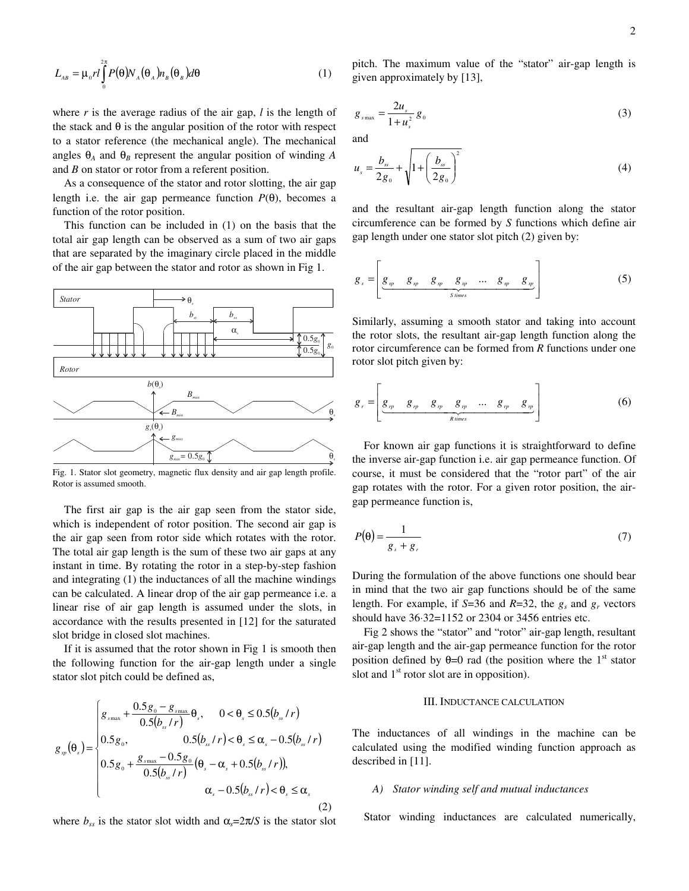$$
L_{AB} = \mu_0 r l \int_0^{2\pi} P(\theta) N_A(\theta_A) n_B(\theta_B) d\theta
$$
 (1)

where *r* is the average radius of the air gap, *l* is the length of the stack and  $\theta$  is the angular position of the rotor with respect to a stator reference (the mechanical angle). The mechanical angles  $\theta_A$  and  $\theta_B$  represent the angular position of winding A and *B* on stator or rotor from a referent position.

As a consequence of the stator and rotor slotting, the air gap length i.e. the air gap permeance function  $P(\theta)$ , becomes a function of the rotor position.

This function can be included in (1) on the basis that the total air gap length can be observed as a sum of two air gaps that are separated by the imaginary circle placed in the middle of the air gap between the stator and rotor as shown in Fig 1.



Fig. 1. Stator slot geometry, magnetic flux density and air gap length profile. Rotor is assumed smooth.

The first air gap is the air gap seen from the stator side, which is independent of rotor position. The second air gap is the air gap seen from rotor side which rotates with the rotor. The total air gap length is the sum of these two air gaps at any instant in time. By rotating the rotor in a step-by-step fashion and integrating (1) the inductances of all the machine windings can be calculated. A linear drop of the air gap permeance i.e. a linear rise of air gap length is assumed under the slots, in accordance with the results presented in [12] for the saturated slot bridge in closed slot machines.

If it is assumed that the rotor shown in Fig 1 is smooth then the following function for the air-gap length under a single stator slot pitch could be defined as,

$$
g_{sp}(\theta_{s}) = \begin{cases} g_{s_{\max}} + \frac{0.5g_{0} - g_{s_{\max}}}{0.5(b_{ss}/r)} \theta_{s}, & 0 < \theta_{s} \le 0.5(b_{ss}/r) \\ 0.5g_{0}, & 0.5(b_{ss}/r) < \theta_{s} \le \alpha_{s} - 0.5(b_{ss}/r) \\ 0.5g_{0} + \frac{g_{s_{\max}} - 0.5g_{0}}{0.5(b_{ss}/r)} (\theta_{s} - \alpha_{s} + 0.5(b_{s}/r)), & \\ \alpha_{s} - 0.5(b_{ss}/r) < \theta_{s} \le \alpha_{s} \end{cases}
$$
(2)

where  $b_{ss}$  is the stator slot width and  $\alpha_s = 2\pi/S$  is the stator slot

pitch. The maximum value of the "stator" air-gap length is given approximately by [13],

$$
g_{s_{\max}} = \frac{2u_s}{1+u_s^2} g_0 \tag{3}
$$

and

$$
u_s = \frac{b_{ss}}{2g_0} + \sqrt{1 + \left(\frac{b_{ss}}{2g_0}\right)^2}
$$
 (4)

and the resultant air-gap length function along the stator circumference can be formed by *S* functions which define air gap length under one stator slot pitch (2) given by:

$$
g_s = \left[ \underbrace{g_{sp} \quad g_{sp} \quad g_{sp} \quad g_{sp} \quad \dots \quad g_{sp} \quad g_{sp}}_{S \text{ times}} \right] \tag{5}
$$

Similarly, assuming a smooth stator and taking into account the rotor slots, the resultant air-gap length function along the rotor circumference can be formed from *R* functions under one rotor slot pitch given by:

$$
g_r = \left[ \underbrace{g_{rr} \quad g_{rr} \quad g_{rr} \quad g_{rr} \quad \dots \quad g_{rr} \quad g_{rr}}_{R \text{ times}} \right] \tag{6}
$$

 For known air gap functions it is straightforward to define the inverse air-gap function i.e. air gap permeance function. Of course, it must be considered that the "rotor part" of the air gap rotates with the rotor. For a given rotor position, the airgap permeance function is,

$$
P(\theta) = \frac{1}{g_s + g_r} \tag{7}
$$

During the formulation of the above functions one should bear in mind that the two air gap functions should be of the same length. For example, if  $S=36$  and  $R=32$ , the  $g_s$  and  $g_r$  vectors should have 36⋅32=1152 or 2304 or 3456 entries etc.

Fig 2 shows the "stator" and "rotor" air-gap length, resultant air-gap length and the air-gap permeance function for the rotor position defined by  $\theta=0$  rad (the position where the 1<sup>st</sup> stator slot and  $1<sup>st</sup>$  rotor slot are in opposition).

## III. INDUCTANCE CALCULATION

The inductances of all windings in the machine can be calculated using the modified winding function approach as described in [11].

#### *A) Stator winding self and mutual inductances*

Stator winding inductances are calculated numerically,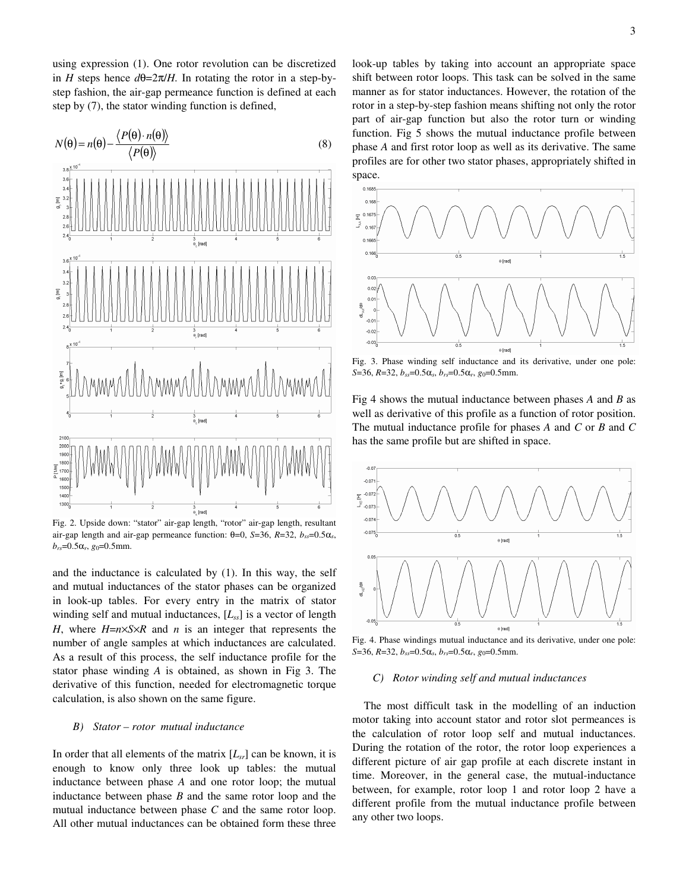using expression (1). One rotor revolution can be discretized in *H* steps hence  $d\theta = 2\pi/H$ . In rotating the rotor in a step-bystep fashion, the air-gap permeance function is defined at each step by (7), the stator winding function is defined,



Fig. 2. Upside down: "stator" air-gap length, "rotor" air-gap length, resultant air-gap length and air-gap permeance function:  $θ=0$ ,  $S=36$ ,  $R=32$ ,  $b_{ss}=0.5α_s$ ,  $b_{rs}$ =0.5α<sub>r</sub>, *g*<sub>0</sub>=0.5mm.

and the inductance is calculated by (1). In this way, the self and mutual inductances of the stator phases can be organized in look-up tables. For every entry in the matrix of stator winding self and mutual inductances, [*Lss*] is a vector of length *H*, where  $H=n\times S\times R$  and *n* is an integer that represents the number of angle samples at which inductances are calculated. As a result of this process, the self inductance profile for the stator phase winding *A* is obtained, as shown in Fig 3. The derivative of this function, needed for electromagnetic torque calculation, is also shown on the same figure.

#### *B) Stator – rotor mutual inductance*

In order that all elements of the matrix  $[L_{cr}]$  can be known, it is enough to know only three look up tables: the mutual inductance between phase *A* and one rotor loop; the mutual inductance between phase *B* and the same rotor loop and the mutual inductance between phase *C* and the same rotor loop. All other mutual inductances can be obtained form these three look-up tables by taking into account an appropriate space shift between rotor loops. This task can be solved in the same manner as for stator inductances. However, the rotation of the rotor in a step-by-step fashion means shifting not only the rotor part of air-gap function but also the rotor turn or winding function. Fig 5 shows the mutual inductance profile between phase *A* and first rotor loop as well as its derivative. The same profiles are for other two stator phases, appropriately shifted in space.



Fig. 3. Phase winding self inductance and its derivative, under one pole: *S*=36, *R*=32, *b*<sub>*ss*</sub>=0.5α*<sub>s</sub>*, *b*<sub>*rs*</sub>=0.5α*<sub>r</sub>*, *g*<sub>0</sub>=0.5mm.

Fig 4 shows the mutual inductance between phases *A* and *B* as well as derivative of this profile as a function of rotor position. The mutual inductance profile for phases *A* and *C* or *B* and *C* has the same profile but are shifted in space.



Fig. 4. Phase windings mutual inductance and its derivative, under one pole: *S*=36, *R*=32, *bss*=0.5α*s*, *brs*=0.5α*r*, *g*0=0.5mm.

#### *C) Rotor winding self and mutual inductances*

The most difficult task in the modelling of an induction motor taking into account stator and rotor slot permeances is the calculation of rotor loop self and mutual inductances. During the rotation of the rotor, the rotor loop experiences a different picture of air gap profile at each discrete instant in time. Moreover, in the general case, the mutual-inductance between, for example, rotor loop 1 and rotor loop 2 have a different profile from the mutual inductance profile between any other two loops.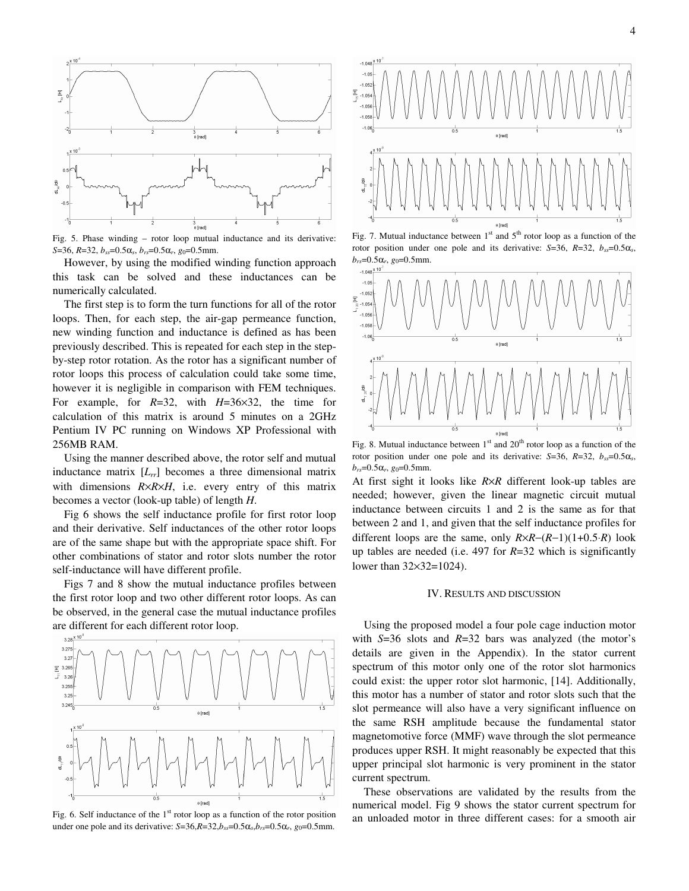

Fig. 5. Phase winding – rotor loop mutual inductance and its derivative: *S*=36, *R*=32, *b*<sub>*ss*</sub>=0.5α*s*, *b*<sub>*rs</sub>*=0.5α*r*, *g*<sub>0</sub>=0.5mm.</sub>

However, by using the modified winding function approach this task can be solved and these inductances can be numerically calculated.

The first step is to form the turn functions for all of the rotor loops. Then, for each step, the air-gap permeance function, new winding function and inductance is defined as has been previously described. This is repeated for each step in the stepby-step rotor rotation. As the rotor has a significant number of rotor loops this process of calculation could take some time, however it is negligible in comparison with FEM techniques. For example, for *R*=32, with *H*=36×32, the time for calculation of this matrix is around 5 minutes on a 2GHz Pentium IV PC running on Windows XP Professional with 256MB RAM.

Using the manner described above, the rotor self and mutual inductance matrix  $[L_r]$  becomes a three dimensional matrix with dimensions *R*×*R*×*H*, i.e. every entry of this matrix becomes a vector (look-up table) of length *H*.

Fig 6 shows the self inductance profile for first rotor loop and their derivative. Self inductances of the other rotor loops are of the same shape but with the appropriate space shift. For other combinations of stator and rotor slots number the rotor self-inductance will have different profile.

Figs 7 and 8 show the mutual inductance profiles between the first rotor loop and two other different rotor loops. As can be observed, in the general case the mutual inductance profiles are different for each different rotor loop.



Fig. 6. Self inductance of the  $1<sup>st</sup>$  rotor loop as a function of the rotor position under one pole and its derivative:  $S=36, R=32, b_{ss}=0.5\alpha_s, b_{rs}=0.5\alpha_r, g_0=0.5\text{mm}$ .



Fig. 7. Mutual inductance between  $1<sup>st</sup>$  and  $5<sup>th</sup>$  rotor loop as a function of the rotor position under one pole and its derivative:  $S=36$ ,  $R=32$ ,  $b_{ss}=0.5\alpha_s$ , *b*<sub>*rs*</sub>=0.5 $\alpha$ *r*, *g*<sub>0</sub>=0.5mm.



Fig. 8. Mutual inductance between  $1<sup>st</sup>$  and  $20<sup>th</sup>$  rotor loop as a function of the rotor position under one pole and its derivative:  $S=36$ ,  $R=32$ ,  $b_{ss}=0.5\alpha_s$ ,  $b_{rs}$ =0.5α*r*, *g*<sub>0</sub>=0.5mm.

At first sight it looks like *R*×*R* different look-up tables are needed; however, given the linear magnetic circuit mutual inductance between circuits 1 and 2 is the same as for that between 2 and 1, and given that the self inductance profiles for different loops are the same, only *R*×*R*−(*R*−1)(1+0.5⋅*R*) look up tables are needed (i.e. 497 for *R*=32 which is significantly lower than 32×32=1024).

## IV. RESULTS AND DISCUSSION

Using the proposed model a four pole cage induction motor with *S*=36 slots and *R*=32 bars was analyzed (the motor's details are given in the Appendix). In the stator current spectrum of this motor only one of the rotor slot harmonics could exist: the upper rotor slot harmonic, [14]. Additionally, this motor has a number of stator and rotor slots such that the slot permeance will also have a very significant influence on the same RSH amplitude because the fundamental stator magnetomotive force (MMF) wave through the slot permeance produces upper RSH. It might reasonably be expected that this upper principal slot harmonic is very prominent in the stator current spectrum.

These observations are validated by the results from the numerical model. Fig 9 shows the stator current spectrum for an unloaded motor in three different cases: for a smooth air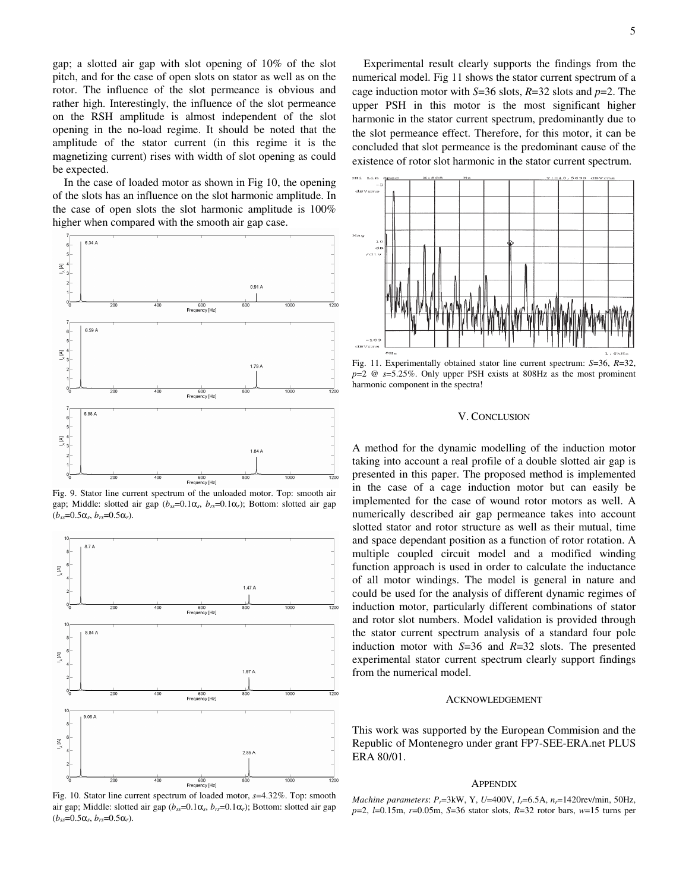gap; a slotted air gap with slot opening of 10% of the slot pitch, and for the case of open slots on stator as well as on the rotor. The influence of the slot permeance is obvious and rather high. Interestingly, the influence of the slot permeance on the RSH amplitude is almost independent of the slot opening in the no-load regime. It should be noted that the amplitude of the stator current (in this regime it is the magnetizing current) rises with width of slot opening as could be expected.

In the case of loaded motor as shown in Fig 10, the opening of the slots has an influence on the slot harmonic amplitude. In the case of open slots the slot harmonic amplitude is 100% higher when compared with the smooth air gap case.



Fig. 9. Stator line current spectrum of the unloaded motor. Top: smooth air gap; Middle: slotted air gap  $(b_{ss}=0.1\alpha_s, b_{rs}=0.1\alpha_r)$ ; Bottom: slotted air gap  $(b_{ss}=0.5\alpha_s, b_{rs}=0.5\alpha_r).$ 



Fig. 10. Stator line current spectrum of loaded motor, *s*=4.32%. Top: smooth air gap; Middle: slotted air gap ( $b_{ss}=0.1\alpha_s$ ,  $b_{rs}=0.1\alpha_r$ ); Bottom: slotted air gap  $(b_{ss}=0.5\alpha_s, b_{rs}=0.5\alpha_r).$ 

Experimental result clearly supports the findings from the numerical model. Fig 11 shows the stator current spectrum of a cage induction motor with *S*=36 slots, *R*=32 slots and *p*=2. The upper PSH in this motor is the most significant higher harmonic in the stator current spectrum, predominantly due to the slot permeance effect. Therefore, for this motor, it can be concluded that slot permeance is the predominant cause of the existence of rotor slot harmonic in the stator current spectrum.



Fig. 11. Experimentally obtained stator line current spectrum: *S*=36, *R*=32, *p*=2 @ *s*=5.25%. Only upper PSH exists at 808Hz as the most prominent harmonic component in the spectra!

### V. CONCLUSION

A method for the dynamic modelling of the induction motor taking into account a real profile of a double slotted air gap is presented in this paper. The proposed method is implemented in the case of a cage induction motor but can easily be implemented for the case of wound rotor motors as well. A numerically described air gap permeance takes into account slotted stator and rotor structure as well as their mutual, time and space dependant position as a function of rotor rotation. A multiple coupled circuit model and a modified winding function approach is used in order to calculate the inductance of all motor windings. The model is general in nature and could be used for the analysis of different dynamic regimes of induction motor, particularly different combinations of stator and rotor slot numbers. Model validation is provided through the stator current spectrum analysis of a standard four pole induction motor with *S*=36 and *R*=32 slots. The presented experimental stator current spectrum clearly support findings from the numerical model.

#### ACKNOWLEDGEMENT

This work was supported by the European Commision and the Republic of Montenegro under grant FP7-SEE-ERA.net PLUS ERA 80/01.

#### APPENDIX

*Machine parameters*: *Pr*=3kW, Y, *U*=400V, *Ir*=6.5A, *nr*=1420rev/min, 50Hz, *p*=2, *l*=0.15m, *r*=0.05m, *S*=36 stator slots, *R*=32 rotor bars, *w*=15 turns per